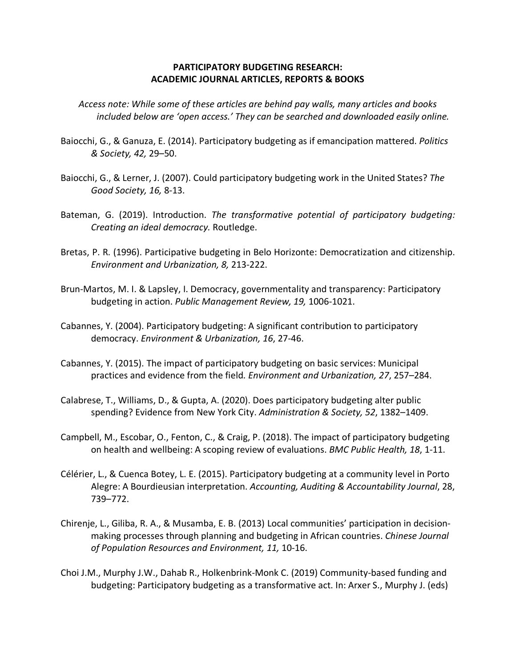## **PARTICIPATORY BUDGETING RESEARCH: ACADEMIC JOURNAL ARTICLES, REPORTS & BOOKS**

*Access note: While some of these articles are behind pay walls, many articles and books included below are 'open access.' They can be searched and downloaded easily online.* 

- Baiocchi, G., & Ganuza, E. (2014). Participatory budgeting as if emancipation mattered. *Politics & Society, 42,* 29–50.
- Baiocchi, G., & Lerner, J. (2007). Could participatory budgeting work in the United States? *The Good Society, 16,* 8-13.
- Bateman, G. (2019). Introduction. *The transformative potential of participatory budgeting: Creating an ideal democracy.* Routledge.
- Bretas, P. R. (1996). Participative budgeting in Belo Horizonte: Democratization and citizenship. *Environment and Urbanization, 8,* 213-222.
- Brun-Martos, M. I. & Lapsley, I. Democracy, governmentality and transparency: Participatory budgeting in action. *Public Management Review, 19,* 1006-1021.
- Cabannes, Y. (2004). Participatory budgeting: A significant contribution to participatory democracy. *Environment & Urbanization, 16*, 27-46.
- Cabannes, Y. (2015). The impact of participatory budgeting on basic services: Municipal practices and evidence from the field*. Environment and Urbanization, 27*, 257–284.
- Calabrese, T., Williams, D., & Gupta, A. (2020). Does participatory budgeting alter public spending? Evidence from New York City. *Administration & Society, 52*, 1382–1409.
- Campbell, M., Escobar, O., Fenton, C., & Craig, P. (2018). The impact of participatory budgeting on health and wellbeing: A scoping review of evaluations. *BMC Public Health, 18*, 1-11.
- Célérier, L., & Cuenca Botey, L. E. (2015). Participatory budgeting at a community level in Porto Alegre: A Bourdieusian interpretation. *Accounting, Auditing & Accountability Journal*, 28, 739–772.
- Chirenje, L., Giliba, R. A., & Musamba, E. B. (2013) Local communities' participation in decisionmaking processes through planning and budgeting in African countries. *Chinese Journal of Population Resources and Environment, 11,* 10-16.
- Choi J.M., Murphy J.W., Dahab R., Holkenbrink-Monk C. (2019) Community-based funding and budgeting: Participatory budgeting as a transformative act. In: Arxer S., Murphy J. (eds)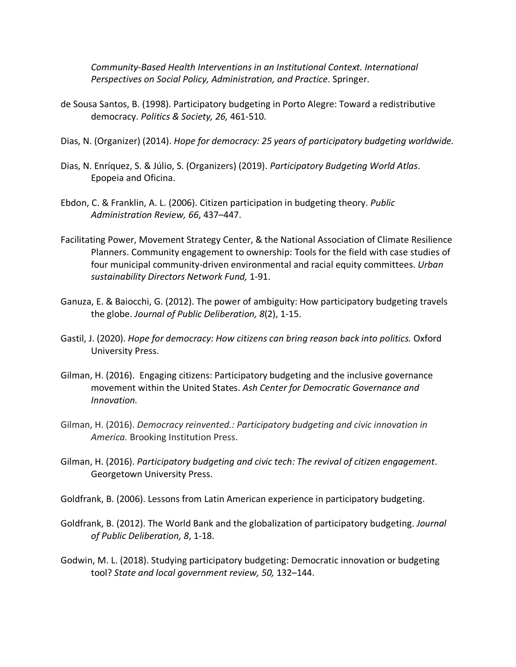*Community-Based Health Interventions in an Institutional Context. International Perspectives on Social Policy, Administration, and Practice*. Springer.

- de Sousa Santos, B. (1998). Participatory budgeting in Porto Alegre: Toward a redistributive democracy. *Politics & Society, 26,* 461-510.
- Dias, N. (Organizer) (2014). *Hope for democracy: 25 years of participatory budgeting worldwide.*
- Dias, N. Enríquez, S. & Júlio, S. (Organizers) (2019). *Participatory Budgeting World Atlas*. Epopeia and Oficina.
- Ebdon, C. & Franklin, A. L. (2006). Citizen participation in budgeting theory. *Public Administration Review, 66*, 437–447.
- Facilitating Power, Movement Strategy Center, & the National Association of Climate Resilience Planners. Community engagement to ownership: Tools for the field with case studies of four municipal community-driven environmental and racial equity committees. *Urban sustainability Directors Network Fund,* 1-91.
- Ganuza, E. & Baiocchi, G. (2012). The power of ambiguity: How participatory budgeting travels the globe. *Journal of Public Deliberation, 8*(2), 1-15.
- Gastil, J. (2020). *Hope for democracy: How citizens can bring reason back into politics.* Oxford University Press.
- Gilman, H. (2016). Engaging citizens: Participatory budgeting and the inclusive governance movement within the United States. *Ash Center for Democratic Governance and Innovation.*
- Gilman, H. (2016). *Democracy reinvented.: Participatory budgeting and civic innovation in America.* Brooking Institution Press.
- Gilman, H. (2016). *Participatory budgeting and civic tech: The revival of citizen engagement*. Georgetown University Press.

Goldfrank, B. (2006). Lessons from Latin American experience in participatory budgeting.

- Goldfrank, B. (2012). The World Bank and the globalization of participatory budgeting. *Journal of Public Deliberation, 8*, 1-18.
- Godwin, M. L. (2018). Studying participatory budgeting: Democratic innovation or budgeting tool? *State and local government review, 50,* 132–144.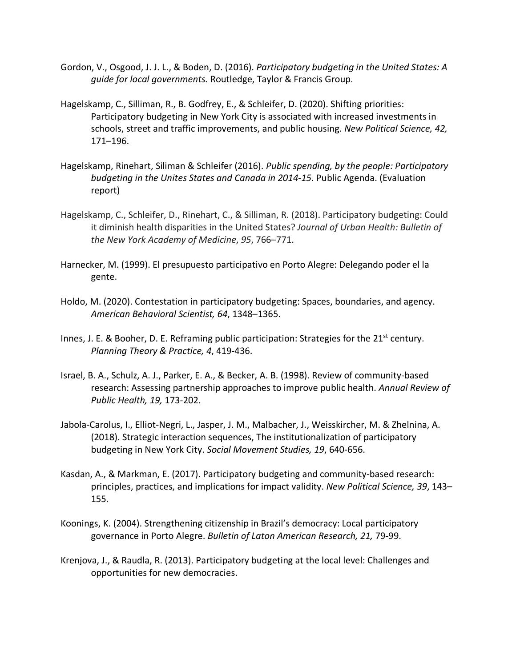- Gordon, V., Osgood, J. J. L., & Boden, D. (2016). *Participatory budgeting in the United States: A guide for local governments.* Routledge, Taylor & Francis Group.
- Hagelskamp, C., Silliman, R., B. Godfrey, E., & Schleifer, D. (2020). Shifting priorities: Participatory budgeting in New York City is associated with increased investments in schools, street and traffic improvements, and public housing. *New Political Science, 42,* 171–196.
- Hagelskamp, Rinehart, Siliman & Schleifer (2016). *Public spending, by the people: Participatory budgeting in the Unites States and Canada in 2014-15*. Public Agenda. (Evaluation report)
- Hagelskamp, C., Schleifer, D., Rinehart, C., & Silliman, R. (2018). Participatory budgeting: Could it diminish health disparities in the United States? *Journal of Urban Health: Bulletin of the New York Academy of Medicine*, *95*, 766–771.
- Harnecker, M. (1999). El presupuesto participativo en Porto Alegre: Delegando poder el la gente.
- Holdo, M. (2020). Contestation in participatory budgeting: Spaces, boundaries, and agency. *American Behavioral Scientist, 64*, 1348–1365.
- Innes, J. E. & Booher, D. E. Reframing public participation: Strategies for the 21<sup>st</sup> century. *Planning Theory & Practice, 4*, 419-436.
- Israel, B. A., Schulz, A. J., Parker, E. A., & Becker, A. B. (1998). Review of community-based research: Assessing partnership approaches to improve public health. *Annual Review of Public Health, 19,* 173-202.
- Jabola-Carolus, I., Elliot-Negri, L., Jasper, J. M., Malbacher, J., Weisskircher, M. & Zhelnina, A. (2018). Strategic interaction sequences, The institutionalization of participatory budgeting in New York City. *Social Movement Studies, 19*, 640-656.
- Kasdan, A., & Markman, E. (2017). Participatory budgeting and community-based research: principles, practices, and implications for impact validity. *New Political Science, 39*, 143– 155.
- Koonings, K. (2004). Strengthening citizenship in Brazil's democracy: Local participatory governance in Porto Alegre. *Bulletin of Laton American Research, 21,* 79-99.
- Krenjova, J., & Raudla, R. (2013). Participatory budgeting at the local level: Challenges and opportunities for new democracies.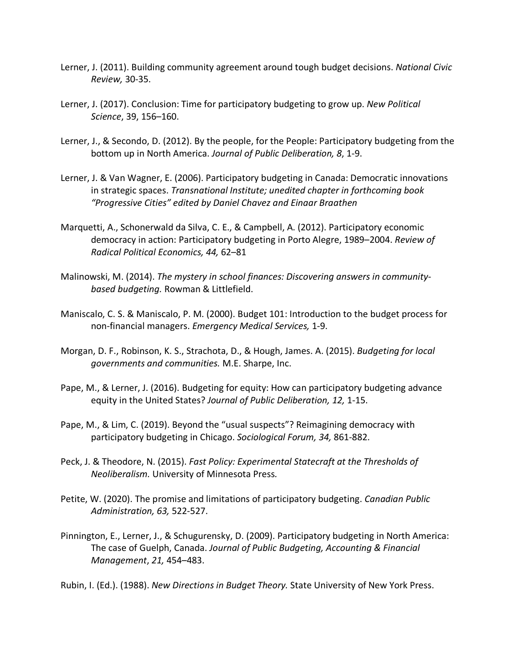- Lerner, J. (2011). Building community agreement around tough budget decisions. *National Civic Review,* 30-35.
- Lerner, J. (2017). Conclusion: Time for participatory budgeting to grow up. *New Political Science*, 39, 156–160.
- Lerner, J., & Secondo, D. (2012). By the people, for the People: Participatory budgeting from the bottom up in North America. *Journal of Public Deliberation, 8*, 1-9.
- Lerner, J. & Van Wagner, E. (2006). Participatory budgeting in Canada: Democratic innovations in strategic spaces. *Transnational Institute; unedited chapter in forthcoming book "Progressive Cities" edited by Daniel Chavez and Einaar Braathen*
- Marquetti, A., Schonerwald da Silva, C. E., & Campbell, A. (2012). Participatory economic democracy in action: Participatory budgeting in Porto Alegre, 1989–2004. *Review of Radical Political Economics, 44,* 62–81
- Malinowski, M. (2014). *The mystery in school finances: Discovering answers in communitybased budgeting.* Rowman & Littlefield.
- Maniscalo, C. S. & Maniscalo, P. M. (2000). Budget 101: Introduction to the budget process for non-financial managers. *Emergency Medical Services,* 1-9.
- Morgan, D. F., Robinson, K. S., Strachota, D., & Hough, James. A. (2015). *Budgeting for local governments and communities.* M.E. Sharpe, Inc.
- Pape, M., & Lerner, J. (2016). Budgeting for equity: How can participatory budgeting advance equity in the United States? *Journal of Public Deliberation, 12,* 1-15.
- Pape, M., & Lim, C. (2019). Beyond the "usual suspects"? Reimagining democracy with participatory budgeting in Chicago. *Sociological Forum, 34,* 861-882.
- Peck, J. & Theodore, N. (2015). *Fast Policy: Experimental Statecraft at the Thresholds of Neoliberalism.* University of Minnesota Press*.*
- Petite, W. (2020). The promise and limitations of participatory budgeting. *Canadian Public Administration, 63,* 522-527.
- Pinnington, E., Lerner, J., & Schugurensky, D. (2009). Participatory budgeting in North America: The case of Guelph, Canada. *Journal of Public Budgeting, Accounting & Financial Management*, *21,* 454–483.
- Rubin, I. (Ed.). (1988). *New Directions in Budget Theory.* State University of New York Press.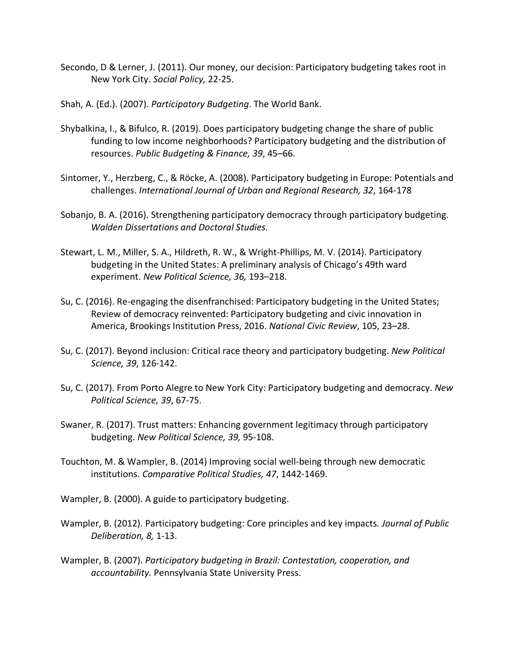- Secondo, D & Lerner, J. (2011). Our money, our decision: Participatory budgeting takes root in New York City. *Social Policy,* 22-25.
- Shah, A. (Ed.). (2007). *Participatory Budgeting*. The World Bank.
- Shybalkina, I., & Bifulco, R. (2019). Does participatory budgeting change the share of public funding to low income neighborhoods? Participatory budgeting and the distribution of resources. *Public Budgeting & Finance, 39*, 45–66.
- Sintomer, Y., Herzberg, C., & Röcke, A. (2008). Participatory budgeting in Europe: Potentials and challenges. *International Journal of Urban and Regional Research, 32*, 164-178
- Sobanjo, B. A. (2016). Strengthening participatory democracy through participatory budgeting. *Walden Dissertations and Doctoral Studies.*
- Stewart, L. M., Miller, S. A., Hildreth, R. W., & Wright-Phillips, M. V. (2014). Participatory budgeting in the United States: A preliminary analysis of Chicago's 49th ward experiment. *New Political Science, 36,* 193–218.
- Su, C. (2016). Re-engaging the disenfranchised: Participatory budgeting in the United States; Review of democracy reinvented: Participatory budgeting and civic innovation in America, Brookings Institution Press, 2016. *National Civic Review*, 105, 23–28.
- Su, C. (2017). Beyond inclusion: Critical race theory and participatory budgeting. *New Political Science, 39*, 126-142.
- Su, C. (2017). From Porto Alegre to New York City: Participatory budgeting and democracy. *New Political Science, 39*, 67-75.
- Swaner, R. (2017). Trust matters: Enhancing government legitimacy through participatory budgeting. *New Political Science, 39,* 95-108.
- Touchton, M. & Wampler, B. (2014) Improving social well-being through new democratic institutions. *Comparative Political Studies, 47*, 1442-1469.
- Wampler, B. (2000). A guide to participatory budgeting.
- Wampler, B. (2012). Participatory budgeting: Core principles and key impacts*. Journal of Public Deliberation, 8,* 1-13.
- Wampler, B. (2007). *Participatory budgeting in Brazil: Contestation, cooperation, and accountability.* Pennsylvania State University Press.